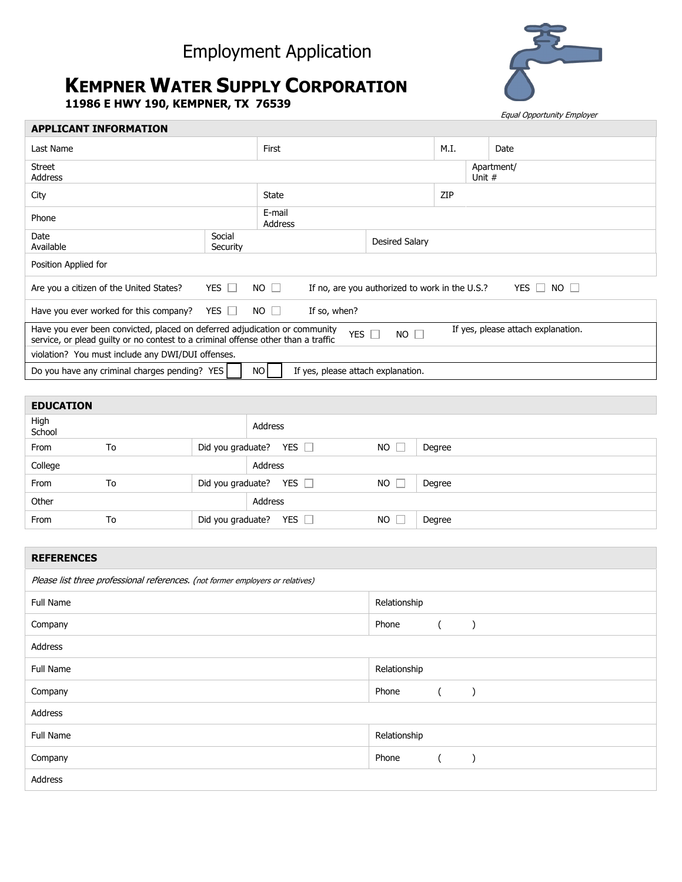## Employment Application

## **KEMPNER WATER SUPPLY CORPORATION**

**11986 E HWY 190, KEMPNER, TX 76539**



Equal Opportunity Employer

| <b>APPLICANT INFORMATION</b>                                                                                                                                                                                                  |                                                                                                          |                |  |                      |  |      |  |  |  |
|-------------------------------------------------------------------------------------------------------------------------------------------------------------------------------------------------------------------------------|----------------------------------------------------------------------------------------------------------|----------------|--|----------------------|--|------|--|--|--|
| Last Name                                                                                                                                                                                                                     | First                                                                                                    |                |  | M.I.                 |  | Date |  |  |  |
| <b>Street</b><br><b>Address</b>                                                                                                                                                                                               |                                                                                                          |                |  | Apartment/<br>Unit # |  |      |  |  |  |
| City                                                                                                                                                                                                                          | <b>State</b>                                                                                             |                |  | ZIP                  |  |      |  |  |  |
| Phone                                                                                                                                                                                                                         | E-mail<br>Address                                                                                        |                |  |                      |  |      |  |  |  |
| Date<br>Available                                                                                                                                                                                                             | Social<br>Security                                                                                       | Desired Salary |  |                      |  |      |  |  |  |
| Position Applied for                                                                                                                                                                                                          |                                                                                                          |                |  |                      |  |      |  |  |  |
| Are you a citizen of the United States?                                                                                                                                                                                       | YES $\Box$<br>$NO$ $\Box$<br>If no, are you authorized to work in the U.S.?<br>$NO$ $\Box$<br>YES $\Box$ |                |  |                      |  |      |  |  |  |
| YES $\Box$<br>$NO$ $\Box$<br>Have you ever worked for this company?<br>If so, when?                                                                                                                                           |                                                                                                          |                |  |                      |  |      |  |  |  |
| Have you ever been convicted, placed on deferred adjudication or community<br>If yes, please attach explanation.<br>YES  <br>$NO$ $\Box$<br>service, or plead quilty or no contest to a criminal offense other than a traffic |                                                                                                          |                |  |                      |  |      |  |  |  |
| violation? You must include any DWI/DUI offenses.                                                                                                                                                                             |                                                                                                          |                |  |                      |  |      |  |  |  |
| Do you have any criminal charges pending? YES<br>NO<br>If yes, please attach explanation.                                                                                                                                     |                                                                                                          |                |  |                      |  |      |  |  |  |

| <b>EDUCATION</b> |    |         |                              |           |        |  |
|------------------|----|---------|------------------------------|-----------|--------|--|
| High<br>School   |    | Address |                              |           |        |  |
| From             | To |         | Did you graduate? YES $\Box$ | NO.       | Degree |  |
| College          |    |         | Address                      |           |        |  |
| From             | To |         | Did you graduate? YES $\Box$ | <b>NO</b> | Degree |  |
| Other            |    |         | Address                      |           |        |  |
| From             | To |         | Did you graduate? YES $\Box$ | <b>NO</b> | Degree |  |

| <b>REFERENCES</b>                                                              |              |  |  |  |  |  |
|--------------------------------------------------------------------------------|--------------|--|--|--|--|--|
| Please list three professional references. (not former employers or relatives) |              |  |  |  |  |  |
| Full Name                                                                      | Relationship |  |  |  |  |  |
| Company                                                                        | Phone        |  |  |  |  |  |
| Address                                                                        |              |  |  |  |  |  |
| Full Name                                                                      | Relationship |  |  |  |  |  |
| Company                                                                        | Phone        |  |  |  |  |  |
| Address                                                                        |              |  |  |  |  |  |
| <b>Full Name</b>                                                               | Relationship |  |  |  |  |  |
| Company                                                                        | Phone        |  |  |  |  |  |
| Address                                                                        |              |  |  |  |  |  |